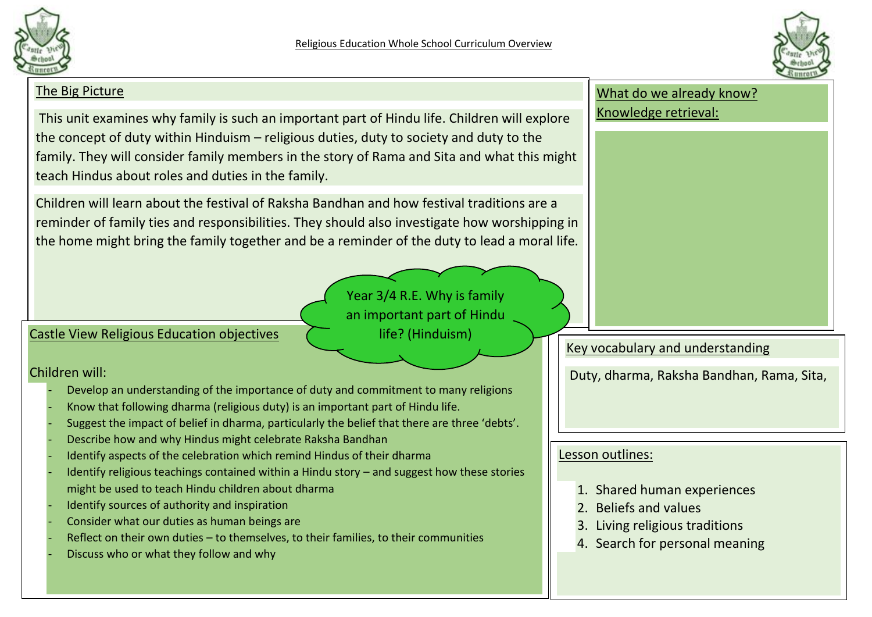



# The Big Picture This unit examines why family is such an important part of Hindu life. Children will explore the concept of duty within Hinduism – religious duties, duty to society and duty to the family. They will consider family members in the story of Rama and Sita and what this might teach Hindus about roles and duties in the family. Children will learn about the festival of Raksha Bandhan and how festival traditions are a reminder of family ties and responsibilities. They should also investigate how worshipping in the home might bring the family together and be a reminder of the duty to lead a moral life. What do we already know? Knowledge retrieval: Key vocabulary and understanding Duty, dharma, Raksha Bandhan, Rama, Sita, Castle View Religious Education objectives Children will: Develop an understanding of the importance of duty and commitment to many religions Know that following dharma (religious duty) is an important part of Hindu life. Suggest the impact of belief in dharma, particularly the belief that there are three 'debts'. Describe how and why Hindus might celebrate Raksha Bandhan Identify aspects of the celebration which remind Hindus of their dharma Identify religious teachings contained within a Hindu story – and suggest how these stories might be used to teach Hindu children about dharma Identify sources of authority and inspiration Consider what our duties as human beings are Reflect on their own duties – to themselves, to their families, to their communities Discuss who or what they follow and why Lesson outlines: 1. Shared human experiences 2. Beliefs and values 3. Living religious traditions 4. Search for personal meaning Year 3/4 R.E. Why is family an important part of Hindu life? (Hinduism)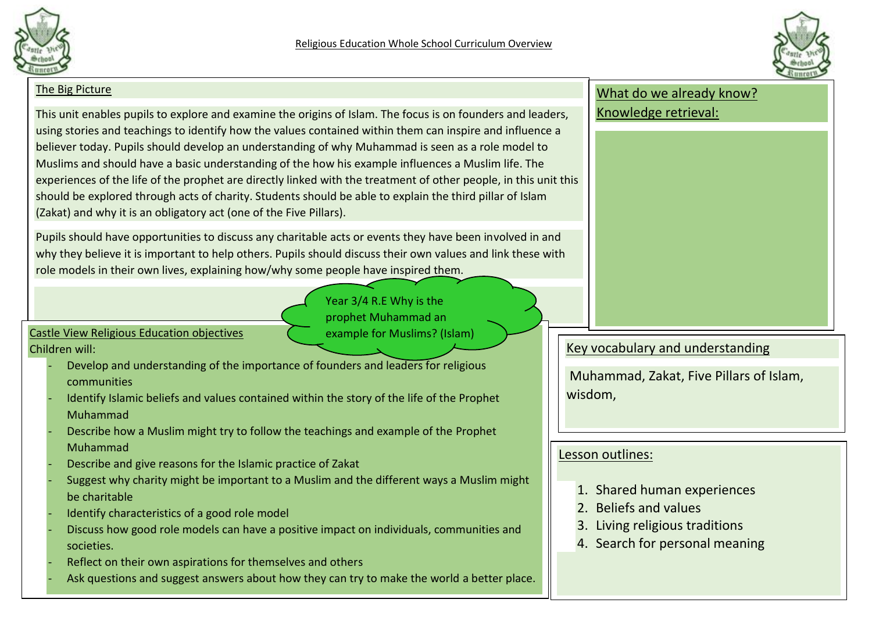



#### The Big Picture

This unit enables pupils to explore and examine the origins of Islam. The focus is on founders and leaders, using stories and teachings to identify how the values contained within them can inspire and influence a believer today. Pupils should develop an understanding of why Muhammad is seen as a role model to Muslims and should have a basic understanding of the how his example influences a Muslim life. The experiences of the life of the prophet are directly linked with the treatment of other people, in this unit this should be explored through acts of charity. Students should be able to explain the third pillar of Islam (Zakat) and why it is an obligatory act (one of the Five Pillars).

Pupils should have opportunities to discuss any charitable acts or events they have been involved in and why they believe it is important to help others. Pupils should discuss their own values and link these with role models in their own lives, explaining how/why some people have inspired them.

> Year 3/4 R.E Why is the prophet Muhammad an

example for Muslims? (Islam)

Castle View Religious Education objectives Children will:

- Develop and understanding of the importance of founders and leaders for religious communities
- Identify Islamic beliefs and values contained within the story of the life of the Prophet Muhammad
- Describe how a Muslim might try to follow the teachings and example of the Prophet Muhammad
- Describe and give reasons for the Islamic practice of Zakat
- Suggest why charity might be important to a Muslim and the different ways a Muslim might be charitable
- Identify characteristics of a good role model
- Discuss how good role models can have a positive impact on individuals, communities and societies.
- Reflect on their own aspirations for themselves and others
- Ask questions and suggest answers about how they can try to make the world a better place.

## What do we already know? Knowledge retrieval:

# Key vocabulary and understanding

Muhammad, Zakat, Five Pillars of Islam, wisdom,

# Lesson outlines:

- 1. Shared human experiences
- 2. Beliefs and values
- 3. Living religious traditions
- 4. Search for personal meaning